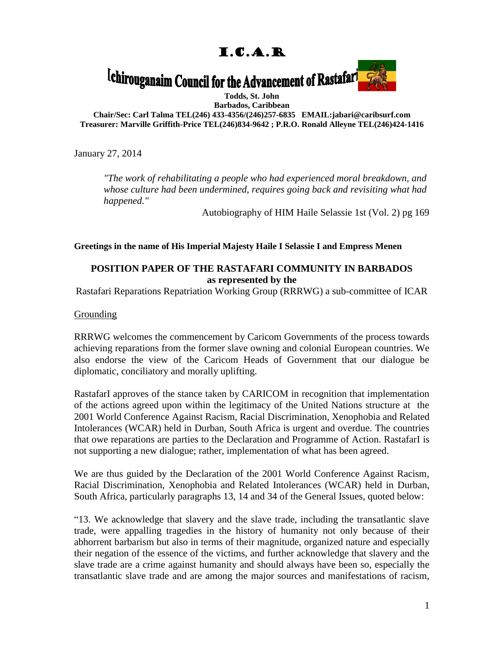# I.C.A.R

# <sup>[chirouganaim Council for the Advancement of Rastafari]</sup>



**Todds, St. John**

**Barbados, Caribbean Chair/Sec: Carl Talma TEL(246) 433-4356/(246)257-6835 EMAIL:jabari@caribsurf.com Treasurer: Marville Griffith-Price TEL(246)834-9642 ; P.R.O. Ronald Alleyne TEL(246)424-1416**

January 27, 2014

*"The work of rehabilitating a people who had experienced moral breakdown, and whose culture had been undermined, requires going back and revisiting what had happened."*

Autobiography of HIM Haile Selassie 1st (Vol. 2) pg 169

**Greetings in the name of His Imperial Majesty Haile I Selassie I and Empress Menen**

## **POSITION PAPER OF THE RASTAFARI COMMUNITY IN BARBADOS as represented by the**

Rastafari Reparations Repatriation Working Group (RRRWG) a sub-committee of ICAR

**Grounding** 

RRRWG welcomes the commencement by Caricom Governments of the process towards achieving reparations from the former slave owning and colonial European countries. We also endorse the view of the Caricom Heads of Government that our dialogue be diplomatic, conciliatory and morally uplifting.

RastafarI approves of the stance taken by CARICOM in recognition that implementation of the actions agreed upon within the legitimacy of the United Nations structure at the 2001 World Conference Against Racism, Racial Discrimination, Xenophobia and Related Intolerances (WCAR) held in Durban, South Africa is urgent and overdue. The countries that owe reparations are parties to the Declaration and Programme of Action. RastafarI is not supporting a new dialogue; rather, implementation of what has been agreed.

We are thus guided by the Declaration of the 2001 World Conference Against Racism, Racial Discrimination, Xenophobia and Related Intolerances (WCAR) held in Durban, South Africa, particularly paragraphs 13, 14 and 34 of the General Issues, quoted below:

"13. We acknowledge that slavery and the slave trade, including the transatlantic slave trade, were appalling tragedies in the history of humanity not only because of their abhorrent barbarism but also in terms of their magnitude, organized nature and especially their negation of the essence of the victims, and further acknowledge that slavery and the slave trade are a crime against humanity and should always have been so, especially the transatlantic slave trade and are among the major sources and manifestations of racism,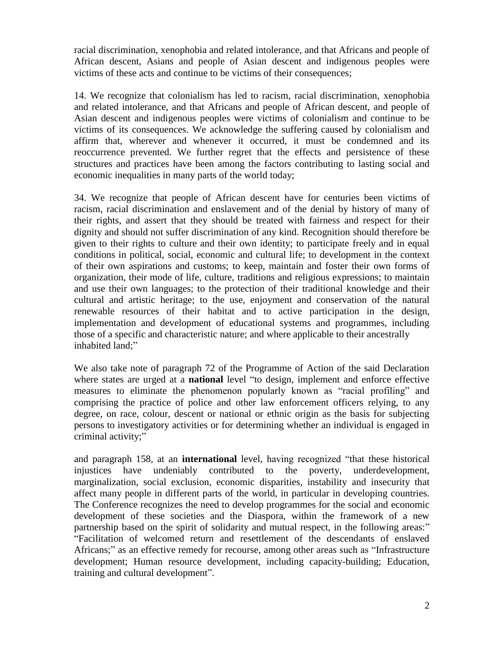racial discrimination, xenophobia and related intolerance, and that Africans and people of African descent, Asians and people of Asian descent and indigenous peoples were victims of these acts and continue to be victims of their consequences;

14. We recognize that colonialism has led to racism, racial discrimination, xenophobia and related intolerance, and that Africans and people of African descent, and people of Asian descent and indigenous peoples were victims of colonialism and continue to be victims of its consequences. We acknowledge the suffering caused by colonialism and affirm that, wherever and whenever it occurred, it must be condemned and its reoccurrence prevented. We further regret that the effects and persistence of these structures and practices have been among the factors contributing to lasting social and economic inequalities in many parts of the world today;

34. We recognize that people of African descent have for centuries been victims of racism, racial discrimination and enslavement and of the denial by history of many of their rights, and assert that they should be treated with fairness and respect for their dignity and should not suffer discrimination of any kind. Recognition should therefore be given to their rights to culture and their own identity; to participate freely and in equal conditions in political, social, economic and cultural life; to development in the context of their own aspirations and customs; to keep, maintain and foster their own forms of organization, their mode of life, culture, traditions and religious expressions; to maintain and use their own languages; to the protection of their traditional knowledge and their cultural and artistic heritage; to the use, enjoyment and conservation of the natural renewable resources of their habitat and to active participation in the design, implementation and development of educational systems and programmes, including those of a specific and characteristic nature; and where applicable to their ancestrally inhabited land;"

We also take note of paragraph 72 of the Programme of Action of the said Declaration where states are urged at a **national** level "to design, implement and enforce effective measures to eliminate the phenomenon popularly known as "racial profiling" and comprising the practice of police and other law enforcement officers relying, to any degree, on race, colour, descent or national or ethnic origin as the basis for subjecting persons to investigatory activities or for determining whether an individual is engaged in criminal activity;"

and paragraph 158, at an **international** level, having recognized "that these historical injustices have undeniably contributed to the poverty, underdevelopment, marginalization, social exclusion, economic disparities, instability and insecurity that affect many people in different parts of the world, in particular in developing countries. The Conference recognizes the need to develop programmes for the social and economic development of these societies and the Diaspora, within the framework of a new partnership based on the spirit of solidarity and mutual respect, in the following areas:" "Facilitation of welcomed return and resettlement of the descendants of enslaved Africans;" as an effective remedy for recourse, among other areas such as "Infrastructure development; Human resource development, including capacity-building; Education, training and cultural development".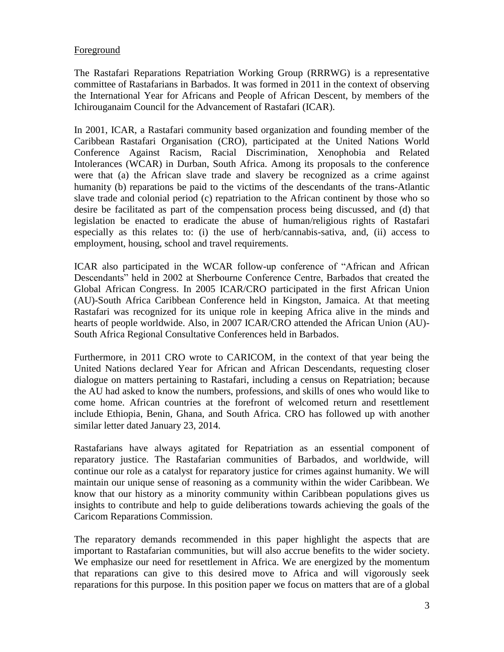### Foreground

The Rastafari Reparations Repatriation Working Group (RRRWG) is a representative committee of Rastafarians in Barbados. It was formed in 2011 in the context of observing the International Year for Africans and People of African Descent, by members of the Ichirouganaim Council for the Advancement of Rastafari (ICAR).

In 2001, ICAR, a Rastafari community based organization and founding member of the Caribbean Rastafari Organisation (CRO), participated at the United Nations World Conference Against Racism, Racial Discrimination, Xenophobia and Related Intolerances (WCAR) in Durban, South Africa. Among its proposals to the conference were that (a) the African slave trade and slavery be recognized as a crime against humanity (b) reparations be paid to the victims of the descendants of the trans-Atlantic slave trade and colonial period (c) repatriation to the African continent by those who so desire be facilitated as part of the compensation process being discussed, and (d) that legislation be enacted to eradicate the abuse of human/religious rights of Rastafari especially as this relates to: (i) the use of herb/cannabis-sativa, and, (ii) access to employment, housing, school and travel requirements.

ICAR also participated in the WCAR follow-up conference of "African and African Descendants" held in 2002 at Sherbourne Conference Centre, Barbados that created the Global African Congress. In 2005 ICAR/CRO participated in the first African Union (AU)-South Africa Caribbean Conference held in Kingston, Jamaica. At that meeting Rastafari was recognized for its unique role in keeping Africa alive in the minds and hearts of people worldwide. Also, in 2007 ICAR/CRO attended the African Union (AU)- South Africa Regional Consultative Conferences held in Barbados.

Furthermore, in 2011 CRO wrote to CARICOM, in the context of that year being the United Nations declared Year for African and African Descendants, requesting closer dialogue on matters pertaining to Rastafari, including a census on Repatriation; because the AU had asked to know the numbers, professions, and skills of ones who would like to come home. African countries at the forefront of welcomed return and resettlement include Ethiopia, Benin, Ghana, and South Africa. CRO has followed up with another similar letter dated January 23, 2014.

Rastafarians have always agitated for Repatriation as an essential component of reparatory justice. The Rastafarian communities of Barbados, and worldwide, will continue our role as a catalyst for reparatory justice for crimes against humanity. We will maintain our unique sense of reasoning as a community within the wider Caribbean. We know that our history as a minority community within Caribbean populations gives us insights to contribute and help to guide deliberations towards achieving the goals of the Caricom Reparations Commission.

The reparatory demands recommended in this paper highlight the aspects that are important to Rastafarian communities, but will also accrue benefits to the wider society. We emphasize our need for resettlement in Africa. We are energized by the momentum that reparations can give to this desired move to Africa and will vigorously seek reparations for this purpose. In this position paper we focus on matters that are of a global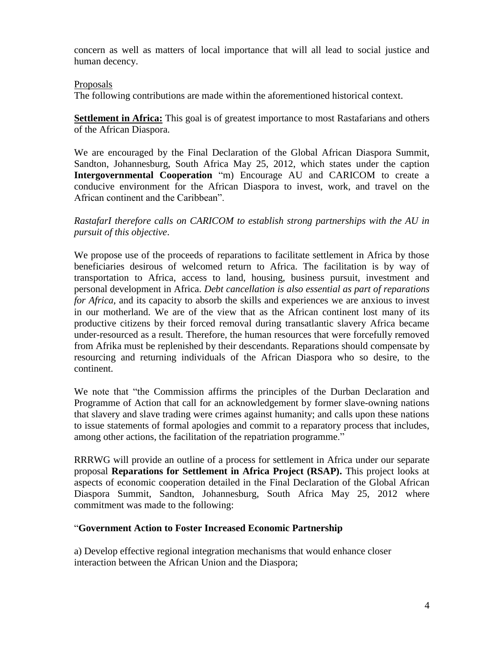concern as well as matters of local importance that will all lead to social justice and human decency.

#### Proposals

The following contributions are made within the aforementioned historical context.

**Settlement in Africa:** This goal is of greatest importance to most Rastafarians and others of the African Diaspora.

We are encouraged by the Final Declaration of the Global African Diaspora Summit, Sandton, Johannesburg, South Africa May 25, 2012, which states under the caption **Intergovernmental Cooperation** "m) Encourage AU and CARICOM to create a conducive environment for the African Diaspora to invest, work, and travel on the African continent and the Caribbean".

#### *RastafarI therefore calls on CARICOM to establish strong partnerships with the AU in pursuit of this objective*.

We propose use of the proceeds of reparations to facilitate settlement in Africa by those beneficiaries desirous of welcomed return to Africa. The facilitation is by way of transportation to Africa, access to land, housing, business pursuit, investment and personal development in Africa. *Debt cancellation is also essential as part of reparations for Africa,* and its capacity to absorb the skills and experiences we are anxious to invest in our motherland. We are of the view that as the African continent lost many of its productive citizens by their forced removal during transatlantic slavery Africa became under-resourced as a result. Therefore, the human resources that were forcefully removed from Afrika must be replenished by their descendants. Reparations should compensate by resourcing and returning individuals of the African Diaspora who so desire, to the continent.

We note that "the Commission affirms the principles of the Durban Declaration and Programme of Action that call for an acknowledgement by former slave-owning nations that slavery and slave trading were crimes against humanity; and calls upon these nations to issue statements of formal apologies and commit to a reparatory process that includes, among other actions, the facilitation of the repatriation programme."

RRRWG will provide an outline of a process for settlement in Africa under our separate proposal **Reparations for Settlement in Africa Project (RSAP).** This project looks at aspects of economic cooperation detailed in the Final Declaration of the Global African Diaspora Summit, Sandton, Johannesburg, South Africa May 25, 2012 where commitment was made to the following:

### "**Government Action to Foster Increased Economic Partnership**

a) Develop effective regional integration mechanisms that would enhance closer interaction between the African Union and the Diaspora;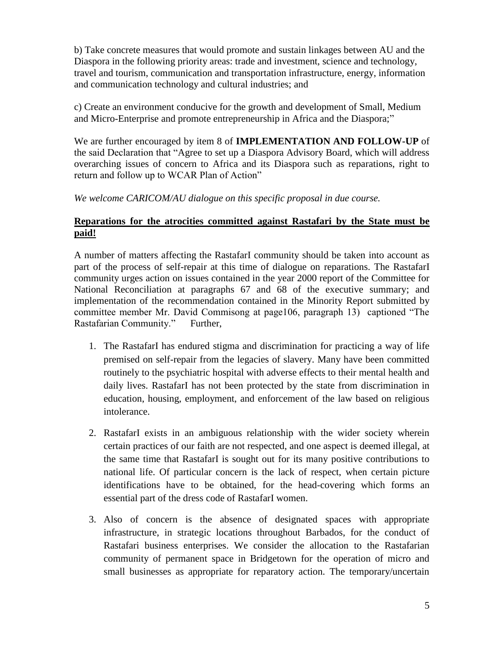b) Take concrete measures that would promote and sustain linkages between AU and the Diaspora in the following priority areas: trade and investment, science and technology, travel and tourism, communication and transportation infrastructure, energy, information and communication technology and cultural industries; and

c) Create an environment conducive for the growth and development of Small, Medium and Micro-Enterprise and promote entrepreneurship in Africa and the Diaspora;"

We are further encouraged by item 8 of **IMPLEMENTATION AND FOLLOW-UP** of the said Declaration that "Agree to set up a Diaspora Advisory Board, which will address overarching issues of concern to Africa and its Diaspora such as reparations, right to return and follow up to WCAR Plan of Action"

### *We welcome CARICOM/AU dialogue on this specific proposal in due course.*

#### **Reparations for the atrocities committed against Rastafari by the State must be paid!**

A number of matters affecting the RastafarI community should be taken into account as part of the process of self-repair at this time of dialogue on reparations. The RastafarI community urges action on issues contained in the year 2000 report of the Committee for National Reconciliation at paragraphs 67 and 68 of the executive summary; and implementation of the recommendation contained in the Minority Report submitted by committee member Mr. David Commisong at page106, paragraph 13) captioned "The Rastafarian Community." Further,

- 1. The RastafarI has endured stigma and discrimination for practicing a way of life premised on self-repair from the legacies of slavery. Many have been committed routinely to the psychiatric hospital with adverse effects to their mental health and daily lives. RastafarI has not been protected by the state from discrimination in education, housing, employment, and enforcement of the law based on religious intolerance.
- 2. RastafarI exists in an ambiguous relationship with the wider society wherein certain practices of our faith are not respected, and one aspect is deemed illegal, at the same time that RastafarI is sought out for its many positive contributions to national life. Of particular concern is the lack of respect, when certain picture identifications have to be obtained, for the head-covering which forms an essential part of the dress code of RastafarI women.
- 3. Also of concern is the absence of designated spaces with appropriate infrastructure, in strategic locations throughout Barbados, for the conduct of Rastafari business enterprises. We consider the allocation to the Rastafarian community of permanent space in Bridgetown for the operation of micro and small businesses as appropriate for reparatory action. The temporary/uncertain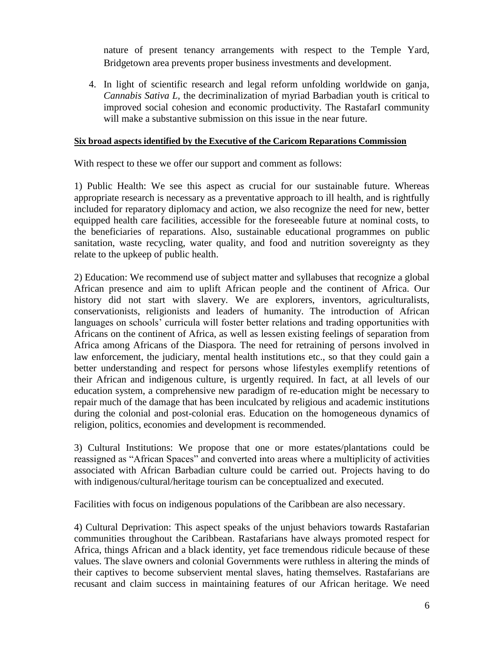nature of present tenancy arrangements with respect to the Temple Yard, Bridgetown area prevents proper business investments and development.

4. In light of scientific research and legal reform unfolding worldwide on ganja, *Cannabis Sativa L,* the decriminalization of myriad Barbadian youth is critical to improved social cohesion and economic productivity. The RastafarI community will make a substantive submission on this issue in the near future.

#### **Six broad aspects identified by the Executive of the Caricom Reparations Commission**

With respect to these we offer our support and comment as follows:

1) Public Health: We see this aspect as crucial for our sustainable future. Whereas appropriate research is necessary as a preventative approach to ill health, and is rightfully included for reparatory diplomacy and action, we also recognize the need for new, better equipped health care facilities, accessible for the foreseeable future at nominal costs, to the beneficiaries of reparations. Also, sustainable educational programmes on public sanitation, waste recycling, water quality, and food and nutrition sovereignty as they relate to the upkeep of public health.

2) Education: We recommend use of subject matter and syllabuses that recognize a global African presence and aim to uplift African people and the continent of Africa. Our history did not start with slavery. We are explorers, inventors, agriculturalists, conservationists, religionists and leaders of humanity. The introduction of African languages on schools' curricula will foster better relations and trading opportunities with Africans on the continent of Africa, as well as lessen existing feelings of separation from Africa among Africans of the Diaspora. The need for retraining of persons involved in law enforcement, the judiciary, mental health institutions etc., so that they could gain a better understanding and respect for persons whose lifestyles exemplify retentions of their African and indigenous culture, is urgently required. In fact, at all levels of our education system, a comprehensive new paradigm of re-education might be necessary to repair much of the damage that has been inculcated by religious and academic institutions during the colonial and post-colonial eras. Education on the homogeneous dynamics of religion, politics, economies and development is recommended.

3) Cultural Institutions: We propose that one or more estates/plantations could be reassigned as "African Spaces" and converted into areas where a multiplicity of activities associated with African Barbadian culture could be carried out. Projects having to do with indigenous/cultural/heritage tourism can be conceptualized and executed.

Facilities with focus on indigenous populations of the Caribbean are also necessary.

4) Cultural Deprivation: This aspect speaks of the unjust behaviors towards Rastafarian communities throughout the Caribbean. Rastafarians have always promoted respect for Africa, things African and a black identity, yet face tremendous ridicule because of these values. The slave owners and colonial Governments were ruthless in altering the minds of their captives to become subservient mental slaves, hating themselves. Rastafarians are recusant and claim success in maintaining features of our African heritage. We need